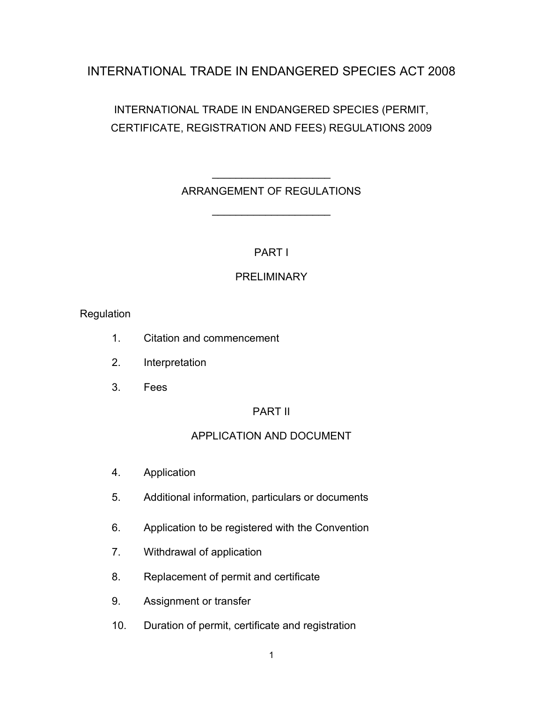# INTERNATIONAL TRADE IN ENDANGERED SPECIES ACT 2008

# INTERNATIONAL TRADE IN ENDANGERED SPECIES (PERMIT, CERTIFICATE, REGISTRATION AND FEES) REGULATIONS 2009

# $\mathcal{L}=\mathcal{L}^{\mathcal{L}}$ ARRANGEMENT OF REGULATIONS

\_\_\_\_\_\_\_\_\_\_\_\_\_\_\_\_\_\_\_\_

## PART I

## **PRELIMINARY**

### Regulation

- 1. Citation and commencement
- 2. Interpretation
- 3. Fees

## PART II

## APPLICATION AND DOCUMENT

- 4. Application
- 5. Additional information, particulars or documents
- 6. Application to be registered with the Convention
- 7. Withdrawal of application
- 8. Replacement of permit and certificate
- 9. Assignment or transfer
- 10. Duration of permit, certificate and registration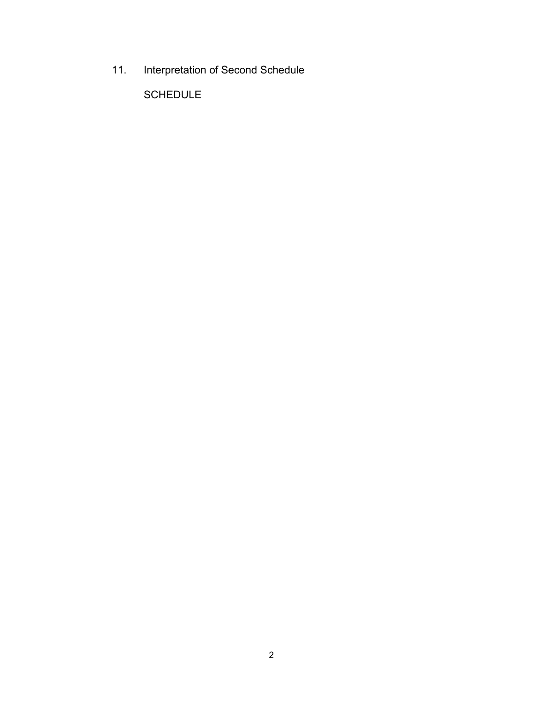11. Interpretation of Second Schedule

SCHEDULE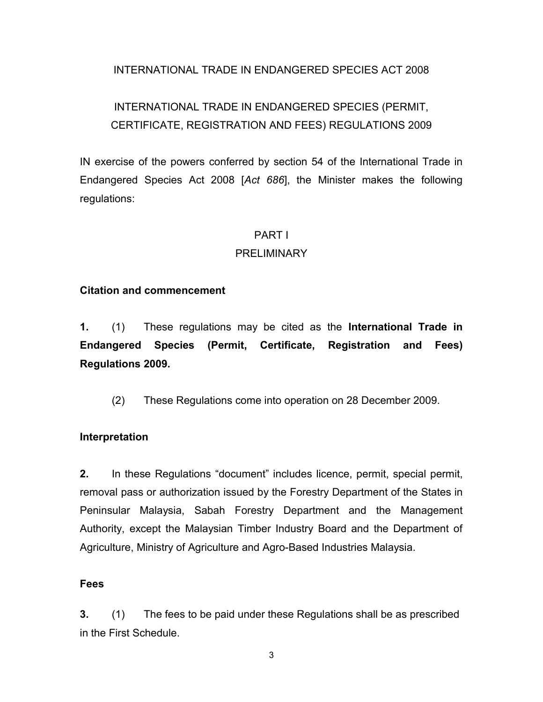### INTERNATIONAL TRADE IN ENDANGERED SPECIES ACT 2008

# INTERNATIONAL TRADE IN ENDANGERED SPECIES (PERMIT, CERTIFICATE, REGISTRATION AND FEES) REGULATIONS 2009

IN exercise of the powers conferred by section 54 of the International Trade in Endangered Species Act 2008 [*Act 686*], the Minister makes the following regulations:

#### PART I

#### PRELIMINARY

#### **Citation and commencement**

**1.** (1) These regulations may be cited as the **International Trade in Endangered Species (Permit, Certificate, Registration and Fees) Regulations 2009.**

(2) These Regulations come into operation on 28 December 2009.

#### **Interpretation**

**2.** In these Regulations "document" includes licence, permit, special permit, removal pass or authorization issued by the Forestry Department of the States in Peninsular Malaysia, Sabah Forestry Department and the Management Authority, except the Malaysian Timber Industry Board and the Department of Agriculture, Ministry of Agriculture and Agro-Based Industries Malaysia.

#### **Fees**

**3.** (1) The fees to be paid under these Regulations shall be as prescribed in the First Schedule.

3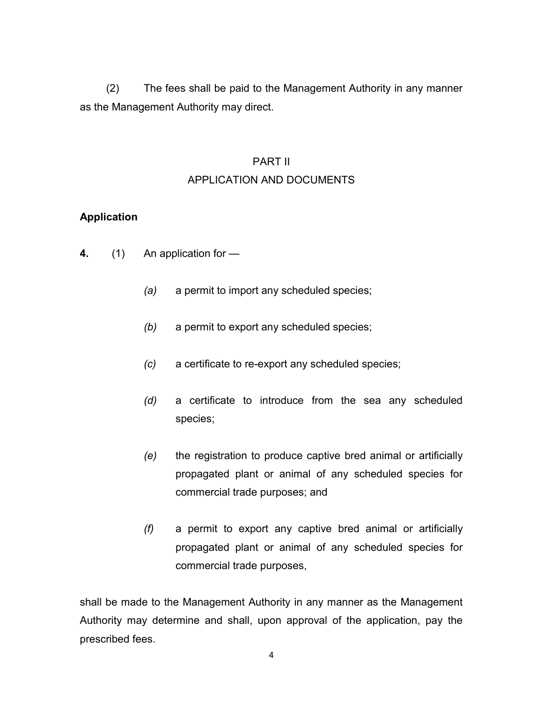(2) The fees shall be paid to the Management Authority in any manner as the Management Authority may direct.

# PART II APPLICATION AND DOCUMENTS

### **Application**

- **4.** (1) An application for
	- *(a)* a permit to import any scheduled species;
	- *(b)* a permit to export any scheduled species;
	- *(c)* a certificate to re-export any scheduled species;
	- *(d)* a certificate to introduce from the sea any scheduled species;
	- *(e)* the registration to produce captive bred animal or artificially propagated plant or animal of any scheduled species for commercial trade purposes; and
	- *(f)* a permit to export any captive bred animal or artificially propagated plant or animal of any scheduled species for commercial trade purposes,

shall be made to the Management Authority in any manner as the Management Authority may determine and shall, upon approval of the application, pay the prescribed fees.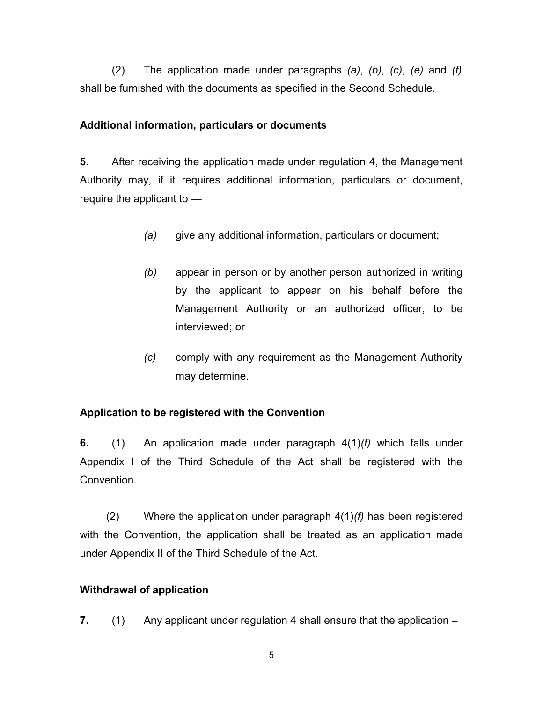(2) The application made under paragraphs *(a)*, *(b)*, *(c)*, *(e)* and *(f)* shall be furnished with the documents as specified in the Second Schedule.

### **Additional information, particulars or documents**

**5.** After receiving the application made under regulation 4, the Management Authority may, if it requires additional information, particulars or document, require the applicant to —

- *(a)* give any additional information, particulars or document;
- *(b)* appear in person or by another person authorized in writing by the applicant to appear on his behalf before the Management Authority or an authorized officer, to be interviewed; or
- *(c)* comply with any requirement as the Management Authority may determine.

### **Application to be registered with the Convention**

**6.** (1) An application made under paragraph 4(1)*(f)* which falls under Appendix I of the Third Schedule of the Act shall be registered with the **Convention** 

(2) Where the application under paragraph 4(1)*(f)* has been registered with the Convention, the application shall be treated as an application made under Appendix II of the Third Schedule of the Act.

### **Withdrawal of application**

**7.** (1) Any applicant under regulation 4 shall ensure that the application –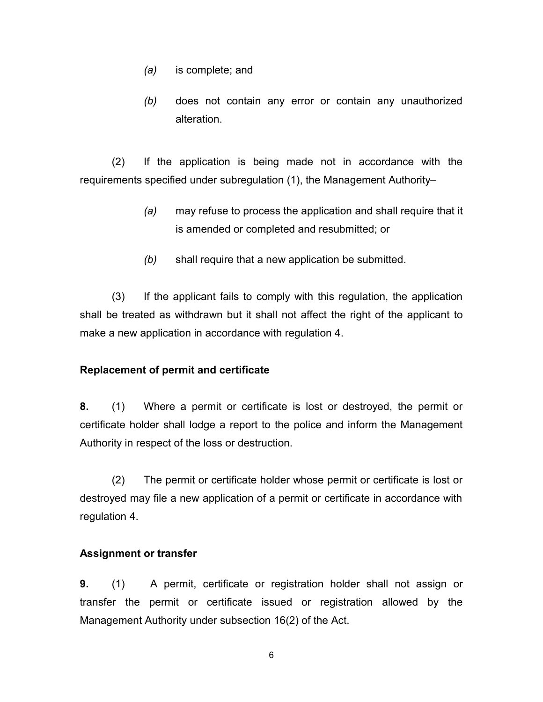- *(a)* is complete; and
- *(b)* does not contain any error or contain any unauthorized alteration.

(2) If the application is being made not in accordance with the requirements specified under subregulation (1), the Management Authority–

- *(a)* may refuse to process the application and shall require that it is amended or completed and resubmitted; or
- *(b)* shall require that a new application be submitted.

(3) If the applicant fails to comply with this regulation, the application shall be treated as withdrawn but it shall not affect the right of the applicant to make a new application in accordance with regulation 4.

#### **Replacement of permit and certificate**

**8.** (1) Where a permit or certificate is lost or destroyed, the permit or certificate holder shall lodge a report to the police and inform the Management Authority in respect of the loss or destruction.

(2) The permit or certificate holder whose permit or certificate is lost or destroyed may file a new application of a permit or certificate in accordance with regulation 4.

#### **Assignment or transfer**

**9.** (1) A permit, certificate or registration holder shall not assign or transfer the permit or certificate issued or registration allowed by the Management Authority under subsection 16(2) of the Act.

6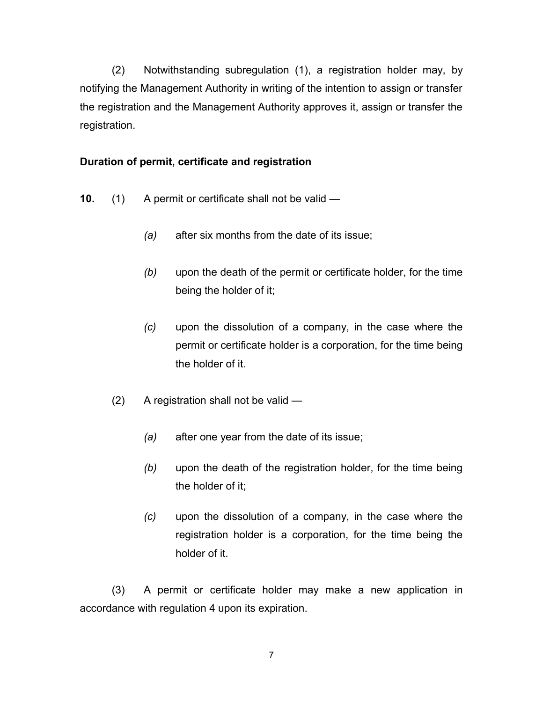(2) Notwithstanding subregulation (1), a registration holder may, by notifying the Management Authority in writing of the intention to assign or transfer the registration and the Management Authority approves it, assign or transfer the registration.

### **Duration of permit, certificate and registration**

- **10.** (1) A permit or certificate shall not be valid
	- *(a)* after six months from the date of its issue;
	- *(b)* upon the death of the permit or certificate holder, for the time being the holder of it;
	- *(c)* upon the dissolution of a company, in the case where the permit or certificate holder is a corporation, for the time being the holder of it.
	- (2) A registration shall not be valid
		- *(a)* after one year from the date of its issue;
		- *(b)* upon the death of the registration holder, for the time being the holder of it;
		- *(c)* upon the dissolution of a company, in the case where the registration holder is a corporation, for the time being the holder of it.

(3) A permit or certificate holder may make a new application in accordance with regulation 4 upon its expiration.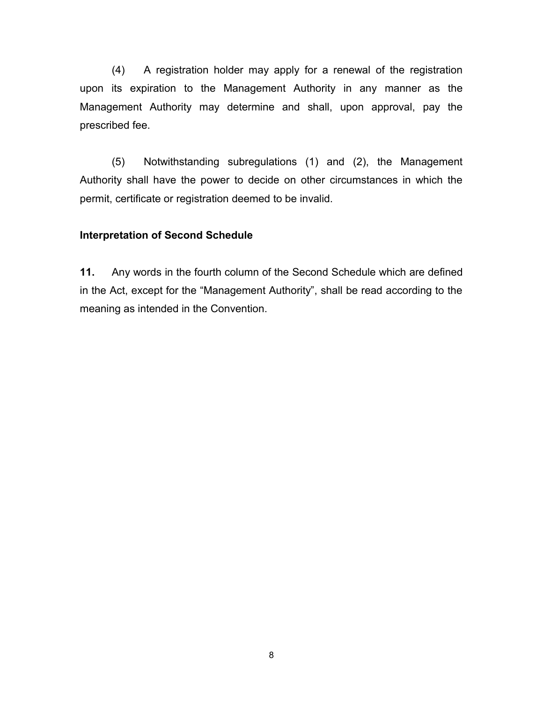(4) A registration holder may apply for a renewal of the registration upon its expiration to the Management Authority in any manner as the Management Authority may determine and shall, upon approval, pay the prescribed fee.

(5) Notwithstanding subregulations (1) and (2), the Management Authority shall have the power to decide on other circumstances in which the permit, certificate or registration deemed to be invalid.

#### **Interpretation of Second Schedule**

**11.** Any words in the fourth column of the Second Schedule which are defined in the Act, except for the "Management Authority", shall be read according to the meaning as intended in the Convention.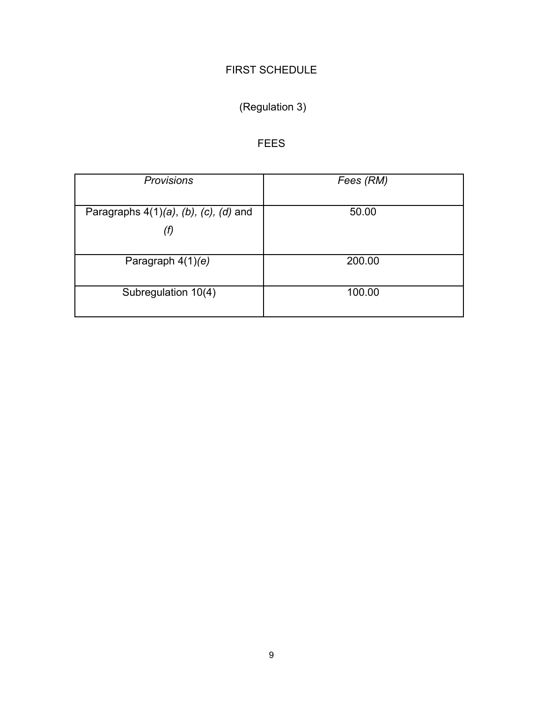# FIRST SCHEDULE

# (Regulation 3)

# FEES

| <b>Provisions</b>                                       | Fees (RM) |
|---------------------------------------------------------|-----------|
| Paragraphs $4(1)(a)$ , $(b)$ , $(c)$ , $(d)$ and<br>(f) | 50.00     |
| Paragraph $4(1)(e)$                                     | 200.00    |
| Subregulation 10(4)                                     | 100.00    |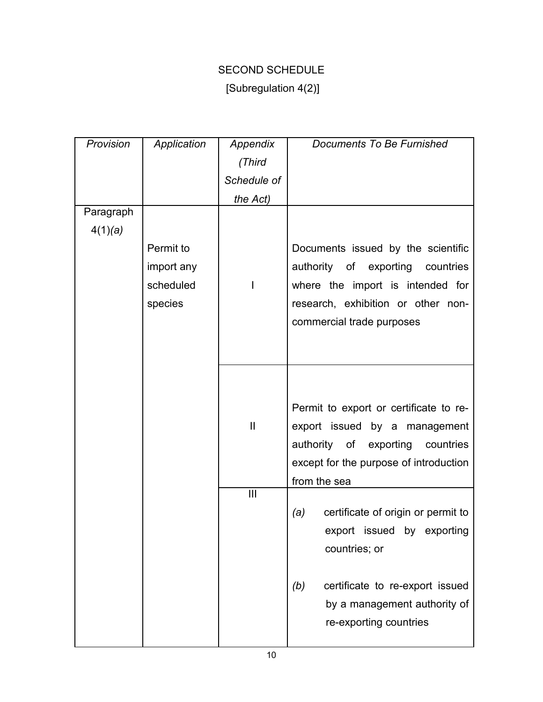# SECOND SCHEDULE

# [Subregulation 4(2)]

| Provision | Application | Appendix       | Documents To Be Furnished                 |
|-----------|-------------|----------------|-------------------------------------------|
|           |             | (Third         |                                           |
|           |             | Schedule of    |                                           |
|           |             | the Act)       |                                           |
| Paragraph |             |                |                                           |
| 4(1)(a)   |             |                |                                           |
|           | Permit to   |                | Documents issued by the scientific        |
|           | import any  |                | authority of exporting countries          |
|           | scheduled   | I              | where the import is intended for          |
|           | species     |                | research, exhibition or other non-        |
|           |             |                | commercial trade purposes                 |
|           |             |                |                                           |
|           |             |                |                                           |
|           |             |                |                                           |
|           |             |                |                                           |
|           |             |                | Permit to export or certificate to re-    |
|           |             | $\mathbf{I}$   | export issued by a management             |
|           |             |                | authority of exporting countries          |
|           |             |                | except for the purpose of introduction    |
|           |             |                | from the sea                              |
|           |             | $\mathbf{III}$ |                                           |
|           |             |                | certificate of origin or permit to<br>(a) |
|           |             |                | export issued by exporting                |
|           |             |                | countries; or                             |
|           |             |                |                                           |
|           |             |                | certificate to re-export issued<br>(b)    |
|           |             |                | by a management authority of              |
|           |             |                | re-exporting countries                    |
|           |             |                |                                           |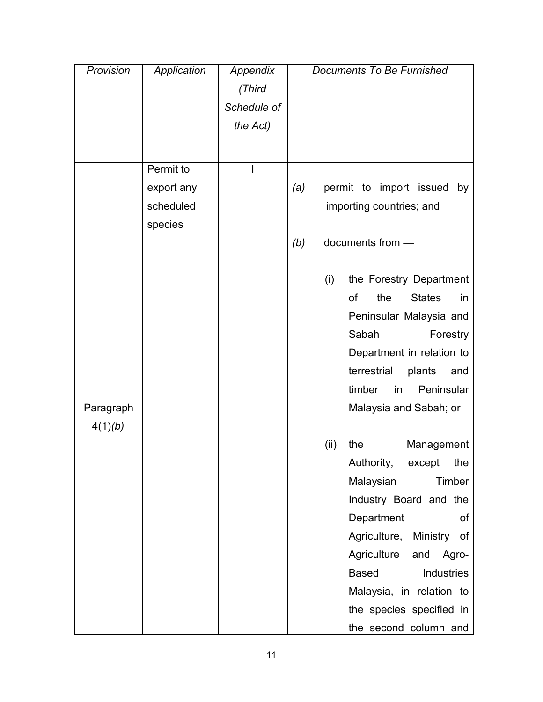| Provision            | Application | Appendix    | <b>Documents To Be Furnished</b>     |
|----------------------|-------------|-------------|--------------------------------------|
|                      |             | (Third      |                                      |
|                      |             | Schedule of |                                      |
|                      |             | the Act)    |                                      |
|                      |             |             |                                      |
|                      | Permit to   |             |                                      |
|                      | export any  |             | permit to import issued<br>(a)<br>by |
|                      | scheduled   |             | importing countries; and             |
|                      | species     |             |                                      |
|                      |             |             | documents from -<br>(b)              |
|                      |             |             | (i)<br>the Forestry Department       |
|                      |             |             | of<br>the<br><b>States</b><br>in     |
|                      |             |             | Peninsular Malaysia and              |
|                      |             |             | Sabah<br>Forestry                    |
|                      |             |             | Department in relation to            |
|                      |             |             | terrestrial<br>plants<br>and         |
|                      |             |             | timber<br>Peninsular<br>in           |
| Paragraph<br>4(1)(b) |             |             | Malaysia and Sabah; or               |
|                      |             |             | (ii)<br>the<br>Management            |
|                      |             |             | Authority, except<br>the             |
|                      |             |             | Malaysian<br>Timber                  |
|                      |             |             | Industry Board and the               |
|                      |             |             | Department<br>Οf                     |
|                      |             |             | Agriculture,<br>Ministry of          |
|                      |             |             | Agriculture<br>Agro-<br>and          |
|                      |             |             | <b>Based</b><br>Industries           |
|                      |             |             | Malaysia, in relation to             |
|                      |             |             | the species specified in             |
|                      |             |             | the second column and                |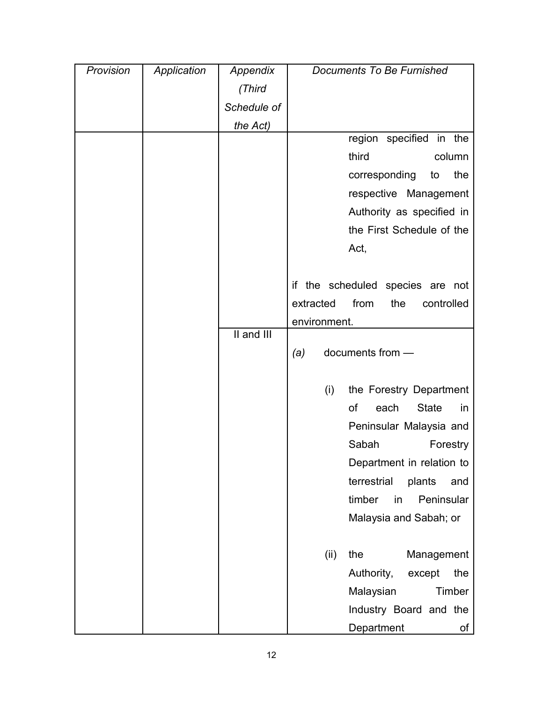| Provision | Application | Appendix    | <b>Documents To Be Furnished</b>       |
|-----------|-------------|-------------|----------------------------------------|
|           |             | (Third      |                                        |
|           |             | Schedule of |                                        |
|           |             | the Act)    |                                        |
|           |             |             | region specified in the                |
|           |             |             | third<br>column                        |
|           |             |             | the<br>corresponding<br>to             |
|           |             |             | respective Management                  |
|           |             |             | Authority as specified in              |
|           |             |             | the First Schedule of the              |
|           |             |             | Act,                                   |
|           |             |             |                                        |
|           |             |             | if the scheduled species are not       |
|           |             |             | extracted<br>from<br>the<br>controlled |
|           |             |             | environment.                           |
|           |             | II and III  |                                        |
|           |             |             | documents from -<br>(a)                |
|           |             |             |                                        |
|           |             |             | (i)<br>the Forestry Department         |
|           |             |             | of<br><b>State</b><br>each<br>in       |
|           |             |             | Peninsular Malaysia and                |
|           |             |             | Sabah<br>Forestry                      |
|           |             |             | Department in relation to              |
|           |             |             | terrestrial<br>plants<br>and           |
|           |             |             | timber<br>Peninsular<br>in             |
|           |             |             | Malaysia and Sabah; or                 |
|           |             |             |                                        |
|           |             |             | Management<br>(ii)<br>the              |
|           |             |             | Authority,<br>the<br>except            |
|           |             |             | Timber<br>Malaysian                    |
|           |             |             | Industry Board and the                 |
|           |             |             | Department<br>of                       |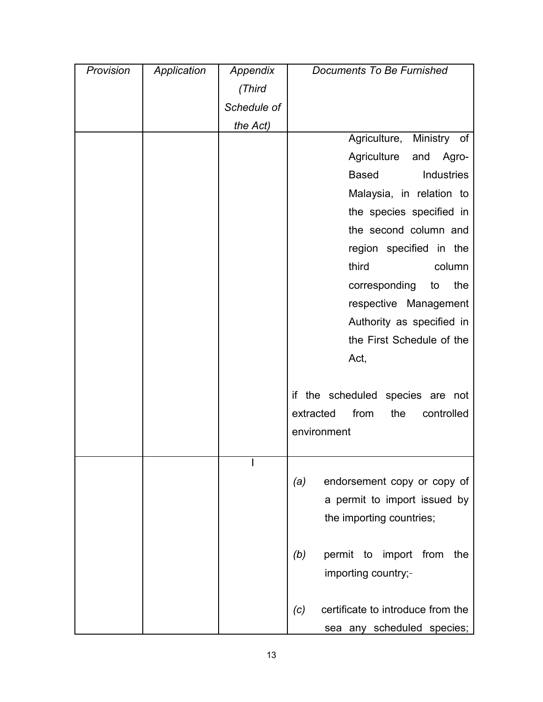| Provision | Application | Appendix    | Documents To Be Furnished                |
|-----------|-------------|-------------|------------------------------------------|
|           |             | (Third      |                                          |
|           |             | Schedule of |                                          |
|           |             | the Act)    |                                          |
|           |             |             | Agriculture, Ministry of                 |
|           |             |             | Agriculture<br>Agro-<br>and              |
|           |             |             | <b>Based</b><br>Industries               |
|           |             |             | Malaysia, in relation to                 |
|           |             |             | the species specified in                 |
|           |             |             | the second column and                    |
|           |             |             | region specified in the                  |
|           |             |             | third<br>column                          |
|           |             |             | corresponding<br>the<br>to               |
|           |             |             | respective Management                    |
|           |             |             | Authority as specified in                |
|           |             |             | the First Schedule of the                |
|           |             |             | Act,                                     |
|           |             |             |                                          |
|           |             |             | if the scheduled species are not         |
|           |             |             | extracted<br>from<br>the<br>controlled   |
|           |             |             | environment                              |
|           |             |             |                                          |
|           |             |             |                                          |
|           |             |             | endorsement copy or copy of<br>(a)       |
|           |             |             | a permit to import issued by             |
|           |             |             | the importing countries;                 |
|           |             |             |                                          |
|           |             |             | permit to<br>import from<br>(b)<br>the   |
|           |             |             | importing country;-                      |
|           |             |             |                                          |
|           |             |             | certificate to introduce from the<br>(c) |
|           |             |             | sea any scheduled species;               |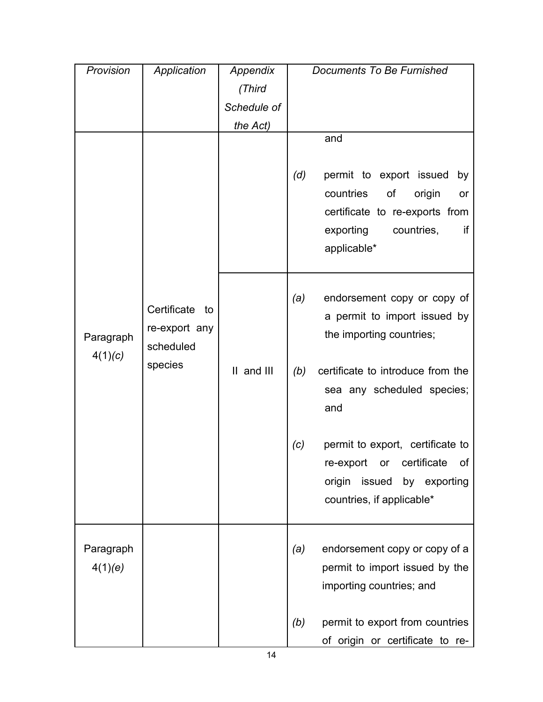| Provision                                                                       | Application | Appendix                                                                                       | Documents To Be Furnished                                                                                                                     |
|---------------------------------------------------------------------------------|-------------|------------------------------------------------------------------------------------------------|-----------------------------------------------------------------------------------------------------------------------------------------------|
|                                                                                 |             | (Third                                                                                         |                                                                                                                                               |
|                                                                                 |             | Schedule of                                                                                    |                                                                                                                                               |
|                                                                                 |             | the Act)                                                                                       |                                                                                                                                               |
|                                                                                 |             |                                                                                                | and<br>(d)<br>permit to export issued<br>by<br>countries<br>of<br>origin<br>or                                                                |
| Certificate to<br>re-export any<br>Paragraph<br>scheduled<br>4(1)(c)<br>species |             | certificate to re-exports from<br>exporting<br>countries,<br>if<br>applicable*                 |                                                                                                                                               |
|                                                                                 |             | endorsement copy or copy of<br>(a)<br>a permit to import issued by<br>the importing countries; |                                                                                                                                               |
|                                                                                 |             | II and III                                                                                     | certificate to introduce from the<br>(b)<br>sea any scheduled species;<br>and                                                                 |
|                                                                                 |             |                                                                                                | permit to export, certificate to<br>(c)<br>certificate<br>re-export<br>or<br>0t<br>origin issued<br>by exporting<br>countries, if applicable* |
| Paragraph<br>4(1)(e)                                                            |             |                                                                                                | endorsement copy or copy of a<br>(a)<br>permit to import issued by the<br>importing countries; and                                            |
|                                                                                 |             |                                                                                                | permit to export from countries<br>(b)<br>of origin or certificate to re-                                                                     |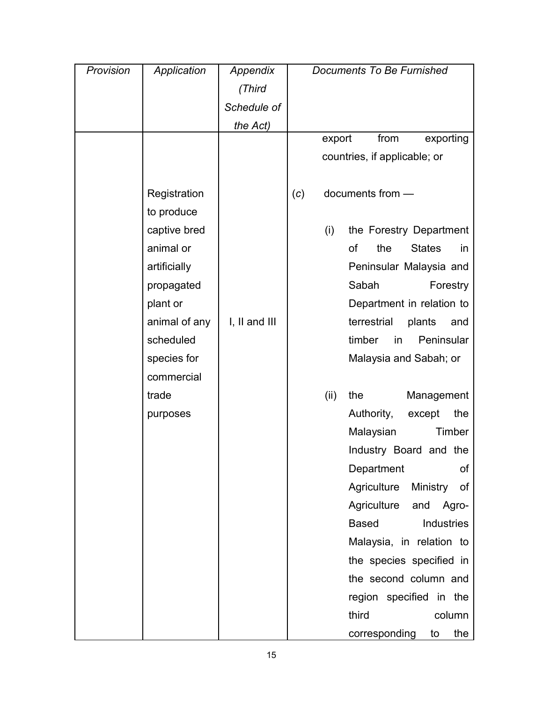| Provision | Application   | Appendix          | <b>Documents To Be Furnished</b> |
|-----------|---------------|-------------------|----------------------------------|
|           |               | (Third            |                                  |
|           |               | Schedule of       |                                  |
|           |               | the Act)          |                                  |
|           |               |                   | from<br>export<br>exporting      |
|           |               |                   | countries, if applicable; or     |
|           |               |                   |                                  |
|           | Registration  |                   | documents from -<br>(c)          |
|           | to produce    |                   |                                  |
|           | captive bred  |                   | (i)<br>the Forestry Department   |
|           | animal or     |                   | of<br>the<br><b>States</b><br>in |
|           | artificially  |                   | Peninsular Malaysia and          |
|           | propagated    |                   | Sabah<br>Forestry                |
|           | plant or      |                   | Department in relation to        |
|           | animal of any | $I, II$ and $III$ | terrestrial<br>plants<br>and     |
|           | scheduled     |                   | timber<br>Peninsular<br>in       |
|           | species for   |                   | Malaysia and Sabah; or           |
|           | commercial    |                   |                                  |
|           | trade         |                   | the<br>Management<br>(ii)        |
|           | purposes      |                   | Authority,<br>the<br>except      |
|           |               |                   | Timber<br>Malaysian              |
|           |               |                   | Industry Board and the           |
|           |               |                   | of<br>Department                 |
|           |               |                   | Agriculture<br>Ministry<br>of    |
|           |               |                   | Agriculture<br>Agro-<br>and      |
|           |               |                   | Industries<br><b>Based</b>       |
|           |               |                   | Malaysia, in relation to         |
|           |               |                   | the species specified in         |
|           |               |                   | the second column and            |
|           |               |                   | region specified in the          |
|           |               |                   | third<br>column                  |
|           |               |                   | the<br>corresponding<br>to       |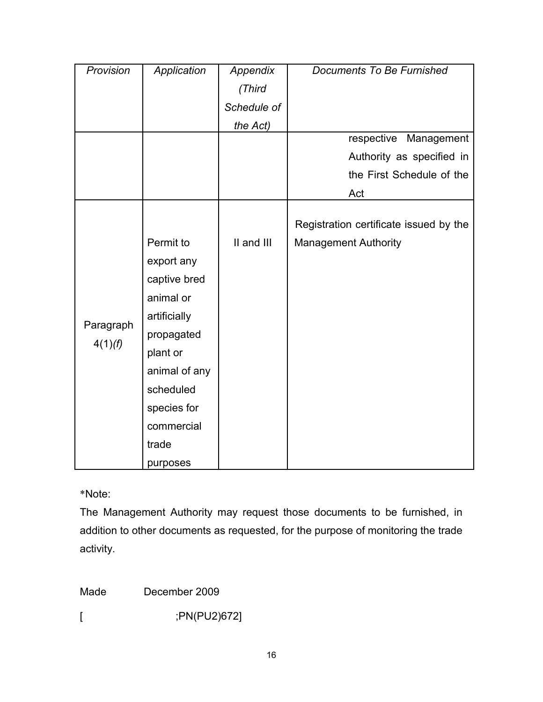| Provision            | Application   | Appendix    | <b>Documents To Be Furnished</b>       |
|----------------------|---------------|-------------|----------------------------------------|
|                      |               | (Third      |                                        |
|                      |               | Schedule of |                                        |
|                      |               | the Act)    |                                        |
|                      |               |             | respective<br>Management               |
|                      |               |             | Authority as specified in              |
|                      |               |             | the First Schedule of the              |
|                      |               |             | Act                                    |
|                      |               |             |                                        |
|                      |               |             | Registration certificate issued by the |
|                      | Permit to     | II and III  | <b>Management Authority</b>            |
|                      | export any    |             |                                        |
|                      | captive bred  |             |                                        |
|                      | animal or     |             |                                        |
|                      | artificially  |             |                                        |
| Paragraph<br>4(1)(f) | propagated    |             |                                        |
|                      | plant or      |             |                                        |
|                      | animal of any |             |                                        |
|                      | scheduled     |             |                                        |
|                      | species for   |             |                                        |
|                      | commercial    |             |                                        |
|                      | trade         |             |                                        |
|                      | purposes      |             |                                        |

\*Note:

The Management Authority may request those documents to be furnished, in addition to other documents as requested, for the purpose of monitoring the trade activity.

Made December 2009

[ ;PN(PU2)672]